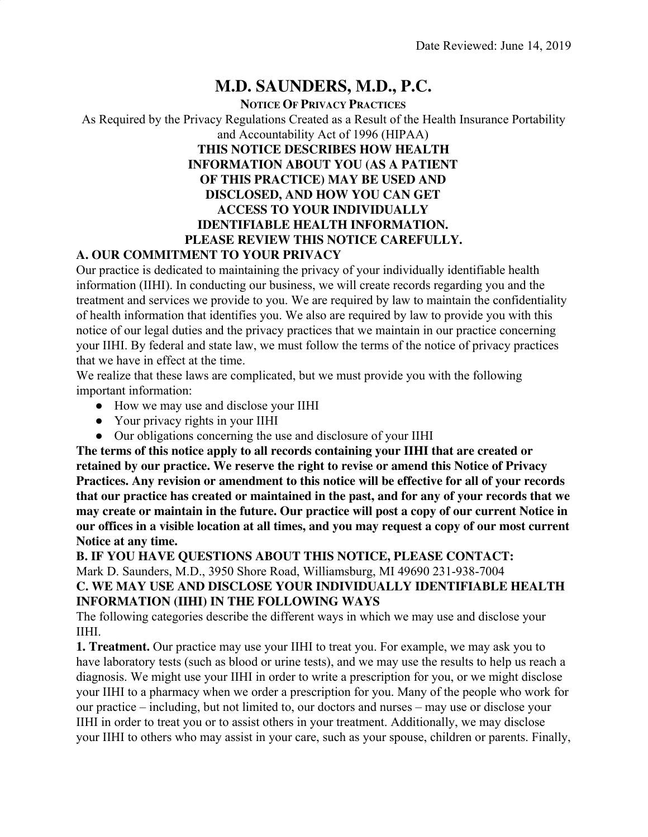## **M.D. SAUNDERS, M.D., P.C.**

#### **NOTICE OF PRIVACY PRACTICES** As Required by the Privacy Regulations Created as a Result of the Health Insurance Portability and Accountability Act of 1996 (HIPAA) **THIS NOTICE DESCRIBES HOW HEALTH INFORMATION ABOUT YOU (AS A PATIENT OF THIS PRACTICE) MAY BE USED AND DISCLOSED, AND HOW YOU CAN GET ACCESS TO YOUR INDIVIDUALLY IDENTIFIABLE HEALTH INFORMATION. PLEASE REVIEW THIS NOTICE CAREFULLY.**

#### **A. OUR COMMITMENT TO YOUR PRIVACY**

Our practice is dedicated to maintaining the privacy of your individually identifiable health information (IIHI). In conducting our business, we will create records regarding you and the treatment and services we provide to you. We are required by law to maintain the confidentiality of health information that identifies you. We also are required by law to provide you with this notice of our legal duties and the privacy practices that we maintain in our practice concerning your IIHI. By federal and state law, we must follow the terms of the notice of privacy practices that we have in effect at the time.

We realize that these laws are complicated, but we must provide you with the following important information:

- How we may use and disclose your IIHI
- Your privacy rights in your IIHI
- Our obligations concerning the use and disclosure of your IIHI

**The terms of this notice apply to all records containing your IIHI that are created or retained by our practice. We reserve the right to revise or amend this Notice of Privacy Practices. Any revision or amendment to this notice will be effective for all of your records that our practice has created or maintained in the past, and for any of your records that we may create or maintain in the future. Our practice will post a copy of our current Notice in our offices in a visible location at all times, and you may request a copy of our most current Notice at any time.**

#### **B. IF YOU HAVE QUESTIONS ABOUT THIS NOTICE, PLEASE CONTACT:** Mark D. Saunders, M.D., 3950 Shore Road, Williamsburg, MI 49690 231-938-7004 **C. WE MAY USE AND DISCLOSE YOUR INDIVIDUALLY IDENTIFIABLE HEALTH INFORMATION (IIHI) IN THE FOLLOWING WAYS**

The following categories describe the different ways in which we may use and disclose your IIHI.

**1. Treatment.** Our practice may use your IIHI to treat you. For example, we may ask you to have laboratory tests (such as blood or urine tests), and we may use the results to help us reach a diagnosis. We might use your IIHI in order to write a prescription for you, or we might disclose your IIHI to a pharmacy when we order a prescription for you. Many of the people who work for our practice – including, but not limited to, our doctors and nurses – may use or disclose your IIHI in order to treat you or to assist others in your treatment. Additionally, we may disclose your IIHI to others who may assist in your care, such as your spouse, children or parents. Finally,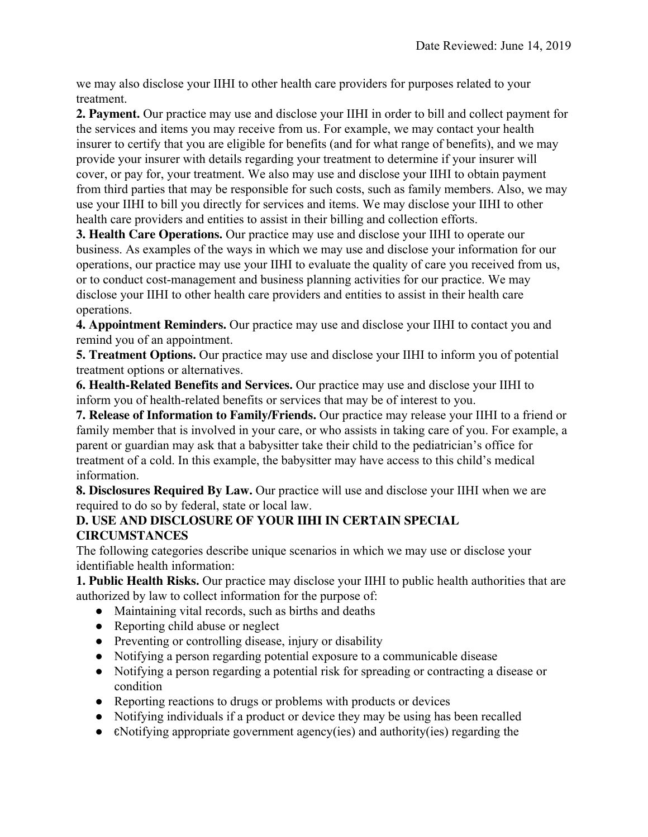we may also disclose your IIHI to other health care providers for purposes related to your treatment.

**2. Payment.** Our practice may use and disclose your IIHI in order to bill and collect payment for the services and items you may receive from us. For example, we may contact your health insurer to certify that you are eligible for benefits (and for what range of benefits), and we may provide your insurer with details regarding your treatment to determine if your insurer will cover, or pay for, your treatment. We also may use and disclose your IIHI to obtain payment from third parties that may be responsible for such costs, such as family members. Also, we may use your IIHI to bill you directly for services and items. We may disclose your IIHI to other health care providers and entities to assist in their billing and collection efforts.

**3. Health Care Operations.** Our practice may use and disclose your IIHI to operate our business. As examples of the ways in which we may use and disclose your information for our operations, our practice may use your IIHI to evaluate the quality of care you received from us, or to conduct cost-management and business planning activities for our practice. We may disclose your IIHI to other health care providers and entities to assist in their health care operations.

**4. Appointment Reminders.** Our practice may use and disclose your IIHI to contact you and remind you of an appointment.

**5. Treatment Options.** Our practice may use and disclose your IIHI to inform you of potential treatment options or alternatives.

**6. Health-Related Benefits and Services.** Our practice may use and disclose your IIHI to inform you of health-related benefits or services that may be of interest to you.

**7. Release of Information to Family/Friends.** Our practice may release your IIHI to a friend or family member that is involved in your care, or who assists in taking care of you. For example, a parent or guardian may ask that a babysitter take their child to the pediatrician's office for treatment of a cold. In this example, the babysitter may have access to this child's medical information.

**8. Disclosures Required By Law.** Our practice will use and disclose your IIHI when we are required to do so by federal, state or local law.

#### **D. USE AND DISCLOSURE OF YOUR IIHI IN CERTAIN SPECIAL CIRCUMSTANCES**

The following categories describe unique scenarios in which we may use or disclose your identifiable health information:

**1. Public Health Risks.** Our practice may disclose your IIHI to public health authorities that are authorized by law to collect information for the purpose of:

- Maintaining vital records, such as births and deaths
- Reporting child abuse or neglect
- Preventing or controlling disease, injury or disability
- Notifying a person regarding potential exposure to a communicable disease
- Notifying a person regarding a potential risk for spreading or contracting a disease or condition
- Reporting reactions to drugs or problems with products or devices
- Notifying individuals if a product or device they may be using has been recalled
- $\epsilon$ Notifying appropriate government agency(ies) and authority(ies) regarding the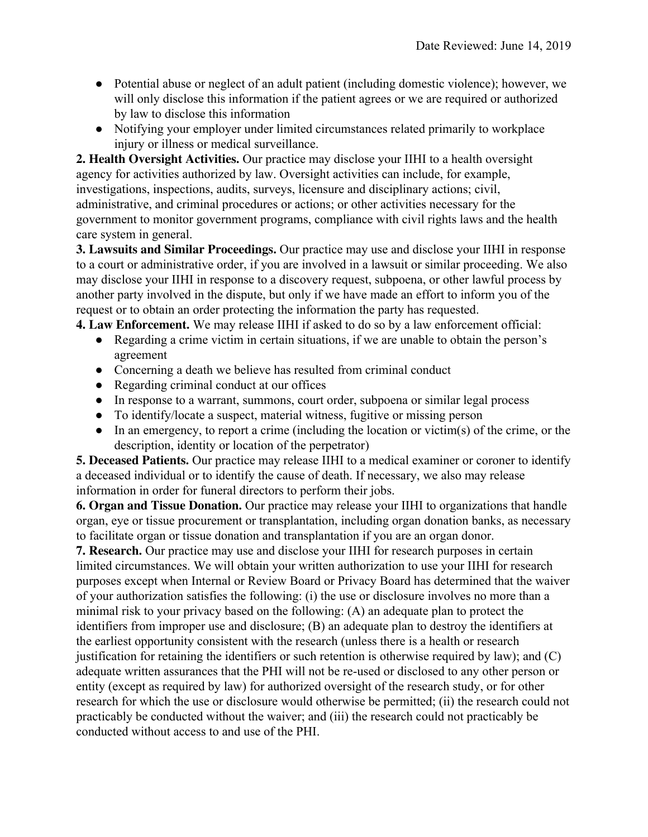- Potential abuse or neglect of an adult patient (including domestic violence); however, we will only disclose this information if the patient agrees or we are required or authorized by law to disclose this information
- Notifying your employer under limited circumstances related primarily to workplace injury or illness or medical surveillance.

**2. Health Oversight Activities.** Our practice may disclose your IIHI to a health oversight agency for activities authorized by law. Oversight activities can include, for example, investigations, inspections, audits, surveys, licensure and disciplinary actions; civil, administrative, and criminal procedures or actions; or other activities necessary for the government to monitor government programs, compliance with civil rights laws and the health care system in general.

**3. Lawsuits and Similar Proceedings.** Our practice may use and disclose your IIHI in response to a court or administrative order, if you are involved in a lawsuit or similar proceeding. We also may disclose your IIHI in response to a discovery request, subpoena, or other lawful process by another party involved in the dispute, but only if we have made an effort to inform you of the request or to obtain an order protecting the information the party has requested.

**4. Law Enforcement.** We may release IIHI if asked to do so by a law enforcement official:

- Regarding a crime victim in certain situations, if we are unable to obtain the person's agreement
- Concerning a death we believe has resulted from criminal conduct
- Regarding criminal conduct at our offices
- In response to a warrant, summons, court order, subpoena or similar legal process
- To identify/locate a suspect, material witness, fugitive or missing person
- In an emergency, to report a crime (including the location or victim(s) of the crime, or the description, identity or location of the perpetrator)

**5. Deceased Patients.** Our practice may release IIHI to a medical examiner or coroner to identify a deceased individual or to identify the cause of death. If necessary, we also may release information in order for funeral directors to perform their jobs.

**6. Organ and Tissue Donation.** Our practice may release your IIHI to organizations that handle organ, eye or tissue procurement or transplantation, including organ donation banks, as necessary to facilitate organ or tissue donation and transplantation if you are an organ donor.

**7. Research.** Our practice may use and disclose your IIHI for research purposes in certain limited circumstances. We will obtain your written authorization to use your IIHI for research purposes except when Internal or Review Board or Privacy Board has determined that the waiver of your authorization satisfies the following: (i) the use or disclosure involves no more than a minimal risk to your privacy based on the following: (A) an adequate plan to protect the identifiers from improper use and disclosure; (B) an adequate plan to destroy the identifiers at the earliest opportunity consistent with the research (unless there is a health or research justification for retaining the identifiers or such retention is otherwise required by law); and (C) adequate written assurances that the PHI will not be re-used or disclosed to any other person or entity (except as required by law) for authorized oversight of the research study, or for other research for which the use or disclosure would otherwise be permitted; (ii) the research could not practicably be conducted without the waiver; and (iii) the research could not practicably be conducted without access to and use of the PHI.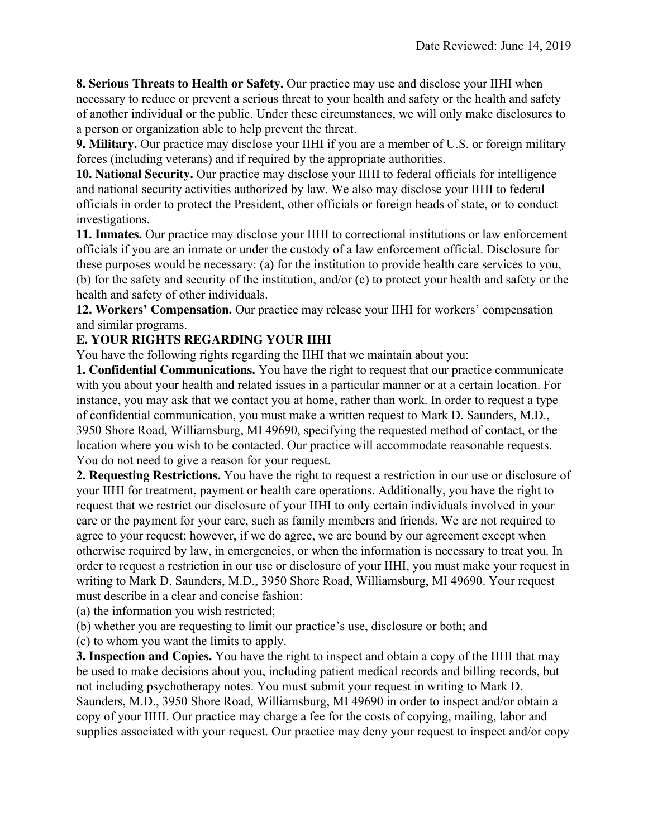**8. Serious Threats to Health or Safety.** Our practice may use and disclose your IIHI when necessary to reduce or prevent a serious threat to your health and safety or the health and safety of another individual or the public. Under these circumstances, we will only make disclosures to a person or organization able to help prevent the threat.

**9. Military.** Our practice may disclose your IIHI if you are a member of U.S. or foreign military forces (including veterans) and if required by the appropriate authorities.

**10. National Security.** Our practice may disclose your IIHI to federal officials for intelligence and national security activities authorized by law. We also may disclose your IIHI to federal officials in order to protect the President, other officials or foreign heads of state, or to conduct investigations.

**11. Inmates.** Our practice may disclose your IIHI to correctional institutions or law enforcement officials if you are an inmate or under the custody of a law enforcement official. Disclosure for these purposes would be necessary: (a) for the institution to provide health care services to you, (b) for the safety and security of the institution, and/or (c) to protect your health and safety or the health and safety of other individuals.

**12. Workers' Compensation.** Our practice may release your IIHI for workers' compensation and similar programs.

### **E. YOUR RIGHTS REGARDING YOUR IIHI**

You have the following rights regarding the IIHI that we maintain about you:

**1. Confidential Communications.** You have the right to request that our practice communicate with you about your health and related issues in a particular manner or at a certain location. For instance, you may ask that we contact you at home, rather than work. In order to request a type of confidential communication, you must make a written request to Mark D. Saunders, M.D., 3950 Shore Road, Williamsburg, MI 49690, specifying the requested method of contact, or the location where you wish to be contacted. Our practice will accommodate reasonable requests. You do not need to give a reason for your request.

**2. Requesting Restrictions.** You have the right to request a restriction in our use or disclosure of your IIHI for treatment, payment or health care operations. Additionally, you have the right to request that we restrict our disclosure of your IIHI to only certain individuals involved in your care or the payment for your care, such as family members and friends. We are not required to agree to your request; however, if we do agree, we are bound by our agreement except when otherwise required by law, in emergencies, or when the information is necessary to treat you. In order to request a restriction in our use or disclosure of your IIHI, you must make your request in writing to Mark D. Saunders, M.D., 3950 Shore Road, Williamsburg, MI 49690. Your request must describe in a clear and concise fashion:

(a) the information you wish restricted;

(b) whether you are requesting to limit our practice's use, disclosure or both; and

(c) to whom you want the limits to apply.

**3. Inspection and Copies.** You have the right to inspect and obtain a copy of the IIHI that may be used to make decisions about you, including patient medical records and billing records, but not including psychotherapy notes. You must submit your request in writing to Mark D. Saunders, M.D., 3950 Shore Road, Williamsburg, MI 49690 in order to inspect and/or obtain a copy of your IIHI. Our practice may charge a fee for the costs of copying, mailing, labor and supplies associated with your request. Our practice may deny your request to inspect and/or copy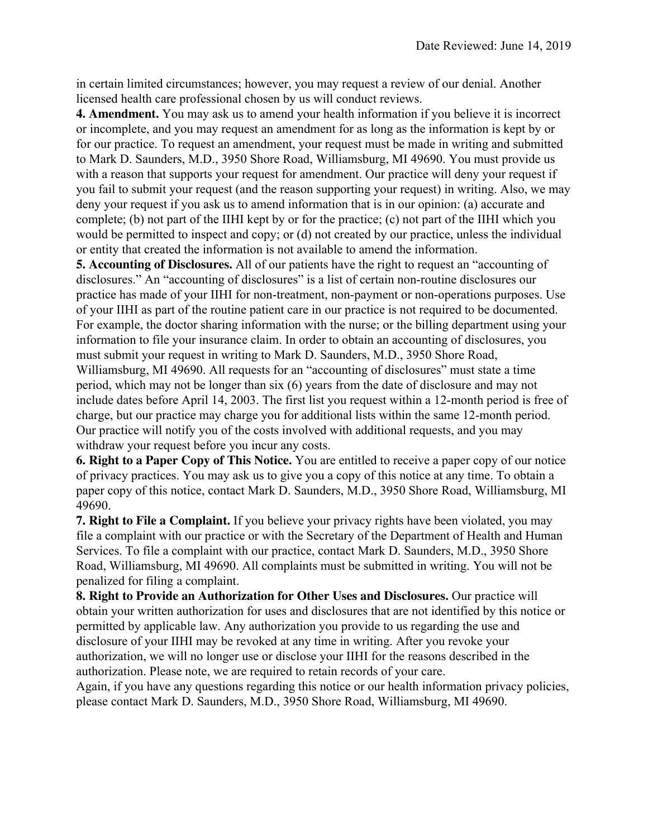in certain limited circumstances; however, you may request a review of our denial. Another licensed health care professional chosen by us will conduct reviews.

**4. Amendment.** You may ask us to amend your health information if you believe it is incorrect or incomplete, and you may request an amendment for as long as the information is kept by or for our practice. To request an amendment, your request must be made in writing and submitted to Mark D. Saunders, M.D., 3950 Shore Road, Williamsburg, MI 49690. You must provide us with a reason that supports your request for amendment. Our practice will deny your request if you fail to submit your request (and the reason supporting your request) in writing. Also, we may deny your request if you ask us to amend information that is in our opinion: (a) accurate and complete; (b) not part of the IIHI kept by or for the practice; (c) not part of the IIHI which you would be permitted to inspect and copy; or (d) not created by our practice, unless the individual or entity that created the information is not available to amend the information.

**5. Accounting of Disclosures.** All of our patients have the right to request an "accounting of disclosures." An "accounting of disclosures" is a list of certain non-routine disclosures our practice has made of your IIHI for non-treatment, non-payment or non-operations purposes. Use of your IIHI as part of the routine patient care in our practice is not required to be documented. For example, the doctor sharing information with the nurse; or the billing department using your information to file your insurance claim. In order to obtain an accounting of disclosures, you must submit your request in writing to Mark D. Saunders, M.D., 3950 Shore Road, Williamsburg, MI 49690. All requests for an "accounting of disclosures" must state a time

period, which may not be longer than six (6) years from the date of disclosure and may not include dates before April 14, 2003. The first list you request within a 12-month period is free of charge, but our practice may charge you for additional lists within the same 12-month period. Our practice will notify you of the costs involved with additional requests, and you may withdraw your request before you incur any costs.

**6. Right to a Paper Copy of This Notice.** You are entitled to receive a paper copy of our notice of privacy practices. You may ask us to give you a copy of this notice at any time. To obtain a paper copy of this notice, contact Mark D. Saunders, M.D., 3950 Shore Road, Williamsburg, MI 49690.

**7. Right to File a Complaint.** If you believe your privacy rights have been violated, you may file a complaint with our practice or with the Secretary of the Department of Health and Human Services. To file a complaint with our practice, contact Mark D. Saunders, M.D., 3950 Shore Road, Williamsburg, MI 49690. All complaints must be submitted in writing. You will not be penalized for filing a complaint.

**8. Right to Provide an Authorization for Other Uses and Disclosures.** Our practice will obtain your written authorization for uses and disclosures that are not identified by this notice or permitted by applicable law. Any authorization you provide to us regarding the use and disclosure of your IIHI may be revoked at any time in writing. After you revoke your authorization, we will no longer use or disclose your IIHI for the reasons described in the authorization. Please note, we are required to retain records of your care.

Again, if you have any questions regarding this notice or our health information privacy policies, please contact Mark D. Saunders, M.D., 3950 Shore Road, Williamsburg, MI 49690.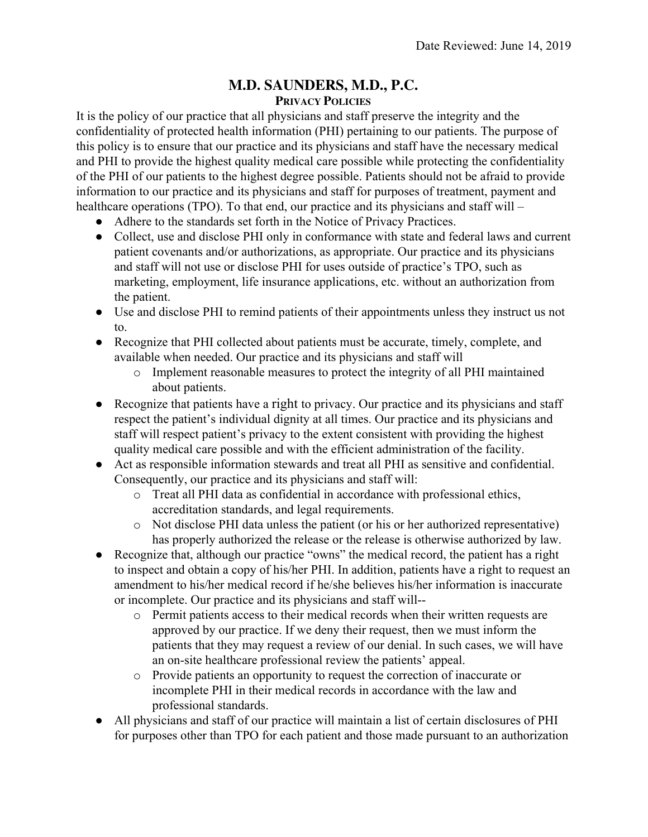# **M.D. SAUNDERS, M.D., P.C.**

**PRIVACY POLICIES**

It is the policy of our practice that all physicians and staff preserve the integrity and the confidentiality of protected health information (PHI) pertaining to our patients. The purpose of this policy is to ensure that our practice and its physicians and staff have the necessary medical and PHI to provide the highest quality medical care possible while protecting the confidentiality of the PHI of our patients to the highest degree possible. Patients should not be afraid to provide information to our practice and its physicians and staff for purposes of treatment, payment and healthcare operations (TPO). To that end, our practice and its physicians and staff will –

- Adhere to the standards set forth in the Notice of Privacy Practices.
- Collect, use and disclose PHI only in conformance with state and federal laws and current patient covenants and/or authorizations, as appropriate. Our practice and its physicians and staff will not use or disclose PHI for uses outside of practice's TPO, such as marketing, employment, life insurance applications, etc. without an authorization from the patient.
- Use and disclose PHI to remind patients of their appointments unless they instruct us not to.
- Recognize that PHI collected about patients must be accurate, timely, complete, and available when needed. Our practice and its physicians and staff will
	- o Implement reasonable measures to protect the integrity of all PHI maintained about patients.
- Recognize that patients have a right to privacy. Our practice and its physicians and staff respect the patient's individual dignity at all times. Our practice and its physicians and staff will respect patient's privacy to the extent consistent with providing the highest quality medical care possible and with the efficient administration of the facility.
- Act as responsible information stewards and treat all PHI as sensitive and confidential. Consequently, our practice and its physicians and staff will:
	- o Treat all PHI data as confidential in accordance with professional ethics, accreditation standards, and legal requirements.
	- o Not disclose PHI data unless the patient (or his or her authorized representative) has properly authorized the release or the release is otherwise authorized by law.
- Recognize that, although our practice "owns" the medical record, the patient has a right to inspect and obtain a copy of his/her PHI. In addition, patients have a right to request an amendment to his/her medical record if he/she believes his/her information is inaccurate or incomplete. Our practice and its physicians and staff will-
	- o Permit patients access to their medical records when their written requests are approved by our practice. If we deny their request, then we must inform the patients that they may request a review of our denial. In such cases, we will have an on-site healthcare professional review the patients' appeal.
	- o Provide patients an opportunity to request the correction of inaccurate or incomplete PHI in their medical records in accordance with the law and professional standards.
- All physicians and staff of our practice will maintain a list of certain disclosures of PHI for purposes other than TPO for each patient and those made pursuant to an authorization